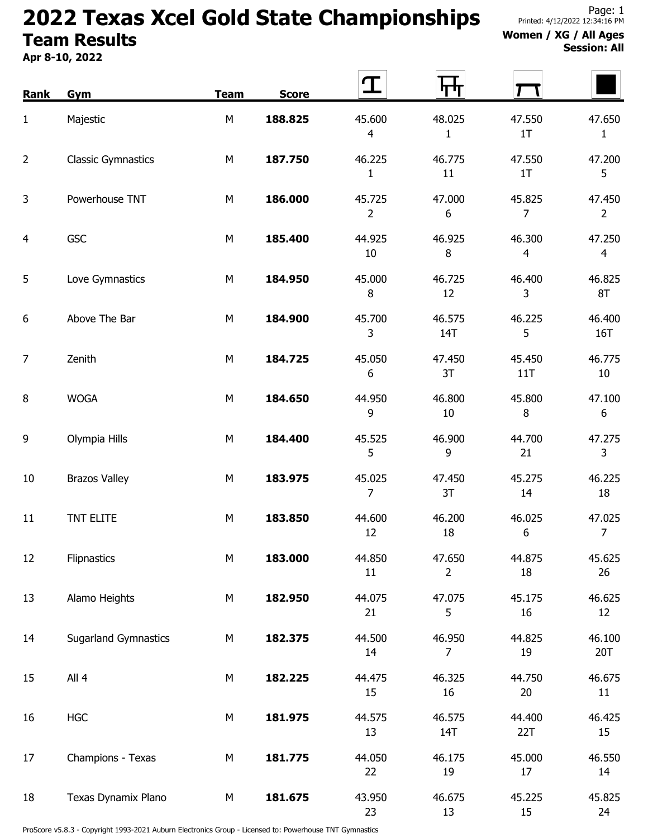## 2022 Texas Xcel Gold State Championships Team Results

Apr 8-10, 2022

## Women / XG / All Ages Session: All

| Rank           | Gym                         | <b>Team</b> | <b>Score</b> | T                        | ┞┯┷┸                       |                          |                            |
|----------------|-----------------------------|-------------|--------------|--------------------------|----------------------------|--------------------------|----------------------------|
| 1              | Majestic                    | M           | 188.825      | 45.600<br>$\overline{4}$ | 48.025<br>$\mathbf{1}$     | 47.550<br>1T             | 47.650<br>$\mathbf{1}$     |
| 2              | <b>Classic Gymnastics</b>   | M           | 187.750      | 46.225<br>$\mathbf{1}$   | 46.775<br>11               | 47.550<br>1T             | 47.200<br>5                |
| 3              | Powerhouse TNT              | M           | 186.000      | 45.725<br>$\overline{2}$ | 47.000<br>$\boldsymbol{6}$ | 45.825<br>$\overline{7}$ | 47.450<br>$\overline{2}$   |
| 4              | <b>GSC</b>                  | M           | 185.400      | 44.925<br>10             | 46.925<br>$\, 8$           | 46.300<br>$\overline{4}$ | 47.250<br>$\overline{4}$   |
| 5              | Love Gymnastics             | M           | 184.950      | 45.000<br>$\, 8$         | 46.725<br>12               | 46.400<br>3              | 46.825<br>8T               |
| 6              | Above The Bar               | M           | 184.900      | 45.700<br>3              | 46.575<br>14T              | 46.225<br>5              | 46.400<br>16T              |
| $\overline{7}$ | Zenith                      | M           | 184.725      | 45.050<br>6              | 47.450<br>3T               | 45.450<br>11T            | 46.775<br>$10\,$           |
| 8              | <b>WOGA</b>                 | M           | 184.650      | 44.950<br>9              | 46.800<br>$10\,$           | 45.800<br>$\, 8$         | 47.100<br>$\boldsymbol{6}$ |
| 9              | Olympia Hills               | M           | 184.400      | 45.525<br>5              | 46.900<br>9                | 44.700<br>21             | 47.275<br>$\mathsf{3}$     |
| 10             | <b>Brazos Valley</b>        | M           | 183.975      | 45.025<br>$\overline{7}$ | 47.450<br>3T               | 45.275<br>14             | 46.225<br>18               |
| 11             | TNT ELITE                   | M           | 183.850      | 44.600<br>12             | 46.200<br>18               | 46.025<br>6              | 47.025<br>$\overline{7}$   |
| 12             | Flipnastics                 | M           | 183.000      | 44.850<br>11             | 47.650<br>$\overline{2}$   | 44.875<br>18             | 45.625<br>26               |
| 13             | Alamo Heights               | М           | 182.950      | 44.075<br>21             | 47.075<br>5                | 45.175<br>16             | 46.625<br>12               |
| 14             | <b>Sugarland Gymnastics</b> | M           | 182.375      | 44.500<br>14             | 46.950<br>$\overline{7}$   | 44.825<br>19             | 46.100<br>20T              |
| 15             | All 4                       | М           | 182.225      | 44.475<br>15             | 46.325<br>16               | 44.750<br>20             | 46.675<br>11               |
| 16             | <b>HGC</b>                  | ${\sf M}$   | 181.975      | 44.575<br>13             | 46.575<br>14T              | 44.400<br>22T            | 46.425<br>15               |
| 17             | Champions - Texas           | M           | 181.775      | 44.050<br>22             | 46.175<br>19               | 45.000<br>17             | 46.550<br>14               |
| 18             | Texas Dynamix Plano         | М           | 181.675      | 43.950<br>23             | 46.675<br>13               | 45.225<br>15             | 45.825<br>24               |

ProScore v5.8.3 - Copyright 1993-2021 Auburn Electronics Group - Licensed to: Powerhouse TNT Gymnastics